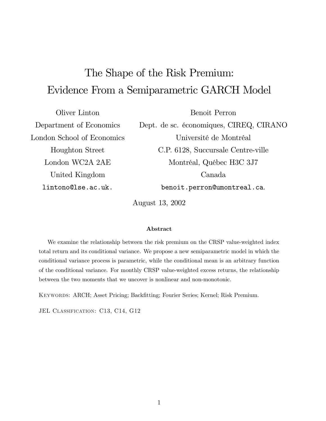# The Shape of the Risk Premium: Evidence From a Semiparametric GARCH Model

Oliver Linton **Benoit Perron** Dept. de sc. économiques, CIREQ, CIRANO Department of Economics London School of Economics Université de Montréal **Houghton Street** C.P. 6128, Succursale Centre-ville London WC2A 2AE Montréal, Québec H3C 3J7 United Kingdom Canada lintono@lse.ac.uk. benoit.perron@umontreal.ca.

August 13, 2002

### Abstract

We examine the relationship between the risk premium on the CRSP value-weighted index total return and its conditional variance. We propose a new semiparametric model in which the conditional variance process is parametric, while the conditional mean is an arbitrary function of the conditional variance. For monthly CRSP value-weighted excess returns, the relationship between the two moments that we uncover is nonlinear and non-monotonic.

KEYWORDS: ARCH; Asset Pricing; Backfitting; Fourier Series; Kernel; Risk Premium.

JEL CLASSIFICATION: C13, C14, G12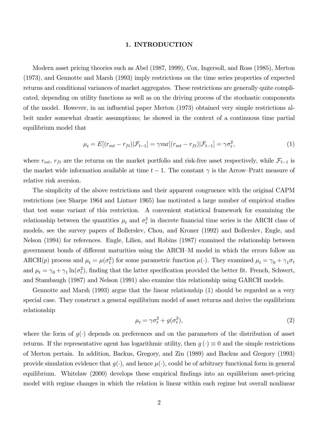### 1. INTRODUCTION

Modern asset pricing theories such as Abel (1987, 1999), Cox, Ingersoll, and Ross (1985), Merton (1973), and Gennotte and Marsh (1993) imply restrictions on the time series properties of expected returns and conditional variances of market aggregates. These restrictions are generally quite complicated, depending on utility functions as well as on the driving process of the stochastic components of the model. However, in an influential paper Merton (1973) obtained very simple restrictions albeit under somewhat drastic assumptions; he showed in the context of a continuous time partial equilibrium model that

$$
\mu_t = E[(r_{mt} - r_{ft})|\mathcal{F}_{t-1}] = \gamma \text{var}[(r_{mt} - r_{ft})|\mathcal{F}_{t-1}] = \gamma \sigma_t^2,
$$
\n(1)

where  $r_{mt}$ ,  $r_{ft}$  are the returns on the market portfolio and risk-free asset respectively, while  $\mathcal{F}_{t-1}$  is the market wide information available at time  $t-1$ . The constant  $\gamma$  is the Arrow-Pratt measure of relative risk aversion.

The simplicity of the above restrictions and their apparent congruence with the original CAPM restrictions (see Sharpe 1964 and Lintner 1965) has motivated a large number of empirical studies that test some variant of this restriction. A convenient statistical framework for examining the relationship between the quantities  $\mu_t$  and  $\sigma_t^2$  in discrete financial time series is the ARCH class of models, see the survey papers of Bollerslev, Chou, and Kroner (1992) and Bollerslev, Engle, and Nelson (1994) for references. Engle, Lilien, and Robins (1987) examined the relationship between government bonds of different maturities using the ARCH–M model in which the errors follow an ARCH(p) process and  $\mu_t = \mu(\sigma_t^2)$  for some parametric function  $\mu(\cdot)$ . They examined  $\mu_t = \gamma_0 + \gamma_1 \sigma_t$ and  $\mu_t = \gamma_0 + \gamma_1 \ln(\sigma_t^2)$ , finding that the latter specification provided the better fit. French, Schwert, and Stambaugh (1987) and Nelson (1991) also examine this relationship using GARCH models.

Gennotte and Marsh (1993) argue that the linear relationship (1) should be regarded as a very special case. They construct a general equilibrium model of asset returns and derive the equilibrium relationship

$$
\mu_t = \gamma \sigma_t^2 + g(\sigma_t^2),\tag{2}
$$

where the form of  $g(\cdot)$  depends on preferences and on the parameters of the distribution of asset returns. If the representative agent has logarithmic utility, then  $g(\cdot) \equiv 0$  and the simple restrictions of Merton pertain. In addition, Backus, Gregory, and Zin (1989) and Backus and Gregory (1993) provide simulation evidence that  $g(\cdot)$ , and hence  $\mu(\cdot)$ , could be of arbitrary functional form in general equilibrium. White law (2000) develops these empirical findings into an equilibrium asset-pricing model with regime changes in which the relation is linear within each regime but overall nonlinear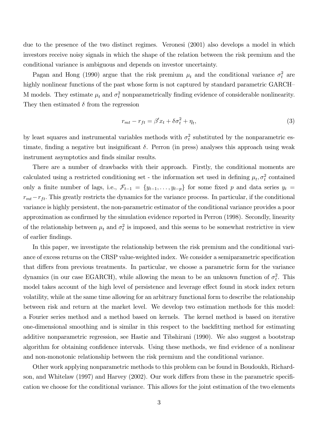due to the presence of the two distinct regimes. Veronesi (2001) also develops a model in which investors receive noisy signals in which the shape of the relation between the risk premium and the conditional variance is ambiguous and depends on investor uncertainty.

Pagan and Hong (1990) argue that the risk premium  $\mu_t$  and the conditional variance  $\sigma_t^2$  are highly nonlinear functions of the past whose form is not captured by standard parametric GARCH-M models. They estimate  $\mu_t$  and  $\sigma_t^2$  nonparametrically finding evidence of considerable nonlinearity. They then estimated  $\delta$  from the regression

$$
r_{mt} - r_{ft} = \beta' x_t + \delta \sigma_t^2 + \eta_t,\tag{3}
$$

by least squares and instrumental variables methods with  $\sigma_t^2$  substituted by the nonparametric estimate, finding a negative but insignificant  $\delta$ . Perron (in press) analyses this approach using weak instrument asymptotics and finds similar results.

There are a number of drawbacks with their approach. Firstly, the conditional moments are calculated using a restricted conditioning set - the information set used in defining  $\mu_t, \sigma_t^2$  contained only a finite number of lags, i.e.,  $\mathcal{F}_{t-1} = \{y_{t-1}, \ldots, y_{t-p}\}\)$  for some fixed p and data series  $y_t =$  $r_{mt} - r_{ft}$ . This greatly restricts the dynamics for the variance process. In particular, if the conditional variance is highly persistent, the non-parametric estimator of the conditional variance provides a poor approximation as confirmed by the simulation evidence reported in Perron (1998). Secondly, linearity of the relationship between  $\mu_t$  and  $\sigma_t^2$  is imposed, and this seems to be somewhat restrictive in view of earlier findings.

In this paper, we investigate the relationship between the risk premium and the conditional variance of excess returns on the CRSP value-weighted index. We consider a semiparametric specification that differs from previous treatments. In particular, we choose a parametric form for the variance dynamics (in our case EGARCH), while allowing the mean to be an unknown function of  $\sigma_t^2$ . This model takes account of the high level of persistence and leverage effect found in stock index return volatility, while at the same time allowing for an arbitrary functional form to describe the relationship between risk and return at the market level. We develop two estimation methods for this model: a Fourier series method and a method based on kernels. The kernel method is based on iterative one-dimensional smoothing and is similar in this respect to the backfitting method for estimating additive nonparametric regression, see Hastie and Tibshirani (1990). We also suggest a bootstrap algorithm for obtaining confidence intervals. Using these methods, we find evidence of a nonlinear and non-monotonic relationship between the risk premium and the conditional variance.

Other work applying nonparametric methods to this problem can be found in Boudoukh, Richardson, and Whitelaw (1997) and Harvey (2002). Our work differs from these in the parametric specification we choose for the conditional variance. This allows for the joint estimation of the two elements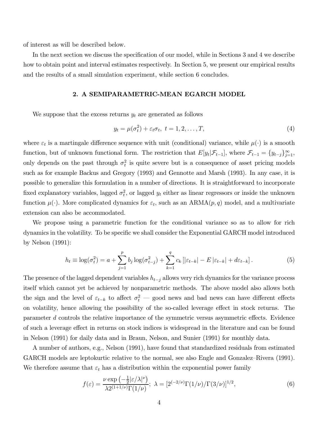of interest as will be described below.

In the next section we discuss the specification of our model, while in Sections 3 and 4 we describe how to obtain point and interval estimates respectively. In Section 5, we present our empirical results and the results of a small simulation experiment, while section 6 concludes.

### 2. A SEMIPARAMETRIC-MEAN EGARCH MODEL

We suppose that the excess returns  $y_t$  are generated as follows

$$
y_t = \mu(\sigma_t^2) + \varepsilon_t \sigma_t, \ t = 1, 2, \dots, T,
$$
\n<sup>(4)</sup>

where  $\varepsilon_t$  is a martingale difference sequence with unit (conditional) variance, while  $\mu(\cdot)$  is a smooth function, but of unknown functional form. The restriction that  $E[y_t|\mathcal{F}_{t-1}]$ , where  $\mathcal{F}_{t-1} = \{y_{t-j}\}_{j=1}^{\infty}$ , only depends on the past through  $\sigma_t^2$  is quite severe but is a consequence of asset pricing models such as for example Backus and Gregory (1993) and Gennotte and Marsh (1993). In any case, it is possible to generalize this formulation in a number of directions. It is straightforward to incorporate fixed explanatory variables, lagged  $\sigma_t^2$ , or lagged  $y_t$  either as linear regressors or inside the unknown function  $\mu(\cdot)$ . More complicated dynamics for  $\varepsilon_t$ , such as an ARMA $(p, q)$  model, and a multivariate extension can also be accommodated.

We propose using a parametric function for the conditional variance so as to allow for rich dynamics in the volatility. To be specific we shall consider the Exponential GARCH model introduced by Nelson  $(1991)$ :

$$
h_t \equiv \log(\sigma_t^2) = a + \sum_{j=1}^p b_j \log(\sigma_{t-j}^2) + \sum_{k=1}^q c_k \left[ |\varepsilon_{t-k}| - E | \varepsilon_{t-k} | + d\varepsilon_{t-k} \right]. \tag{5}
$$

The presence of the lagged dependent variables  $h_{t-j}$  allows very rich dynamics for the variance process itself which cannot yet be achieved by nonparametric methods. The above model also allows both the sign and the level of  $\varepsilon_{t-k}$  to affect  $\sigma_t^2$  – good news and bad news can have different effects on volatility, hence allowing the possibility of the so-called leverage effect in stock returns. The parameter d controls the relative importance of the symmetric versus asymmetric effects. Evidence of such a leverage effect in returns on stock indices is widespread in the literature and can be found in Nelson (1991) for daily data and in Braun, Nelson, and Sunier (1991) for monthly data.

A number of authors, e.g., Nelson (1991), have found that standardized residuals from estimated GARCH models are leptokurtic relative to the normal, see also Engle and Gonzalez–Rivera (1991). We therefore assume that  $\varepsilon_t$  has a distribution within the exponential power family

$$
f(\varepsilon) = \frac{\nu \exp\left(-\frac{1}{2}|\varepsilon/\lambda|^{\nu}\right)}{\lambda 2^{(1+1/\nu)}\Gamma(1/\nu)}; \ \lambda = \left[2^{(-2/\nu)}\Gamma(1/\nu)/\Gamma(3/\nu)\right]^{1/2},\tag{6}
$$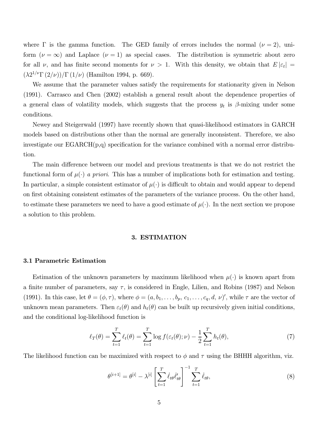where  $\Gamma$  is the gamma function. The GED family of errors includes the normal  $(\nu = 2)$ , uniform  $(\nu = \infty)$  and Laplace  $(\nu = 1)$  as special cases. The distribution is symmetric about zero for all  $\nu$ , and has finite second moments for  $\nu > 1$ . With this density, we obtain that  $E|\varepsilon_t| =$  $(\lambda 2^{1/\nu} \Gamma (2/\nu)) / \Gamma (1/\nu)$  (Hamilton 1994, p. 669).

We assume that the parameter values satisfy the requirements for stationarity given in Nelson  $(1991)$ . Carrasco and Chen  $(2002)$  establish a general result about the dependence properties of a general class of volatility models, which suggests that the process  $y_t$  is  $\beta$ -mixing under some conditions.

Newey and Steigerwald (1997) have recently shown that quasi-likelihood estimators in GARCH models based on distributions other than the normal are generally inconsistent. Therefore, we also investigate our  $EGARCH(p,q)$  specification for the variance combined with a normal error distribution.

The main difference between our model and previous treatments is that we do not restrict the functional form of  $\mu(\cdot)$  a priori. This has a number of implications both for estimation and testing. In particular, a simple consistent estimator of  $\mu(\cdot)$  is difficult to obtain and would appear to depend on first obtaining consistent estimates of the parameters of the variance process. On the other hand, to estimate these parameters we need to have a good estimate of  $\mu(\cdot)$ . In the next section we propose a solution to this problem.

### 3. ESTIMATION

### 3.1 Parametric Estimation

Estimation of the unknown parameters by maximum likelihood when  $\mu(\cdot)$  is known apart from a finite number of parameters, say  $\tau$ , is considered in Engle, Lilien, and Robins (1987) and Nelson (1991). In this case, let  $\theta = (\phi, \tau)$ , where  $\phi = (a, b_1, \ldots, b_p, c_1, \ldots, c_q, d, \nu)'$ , while  $\tau$  are the vector of unknown mean parameters. Then  $\varepsilon_t(\theta)$  and  $h_t(\theta)$  can be built up recursively given initial conditions, and the conditional log-likelihood function is

$$
\ell_T(\theta) = \sum_{t=1}^T \ell_t(\theta) = \sum_{t=1}^T \log f(\varepsilon_t(\theta); \nu) - \frac{1}{2} \sum_{t=1}^T h_t(\theta), \tag{7}
$$

The likelihood function can be maximized with respect to  $\phi$  and  $\tau$  using the BHHH algorithm, viz.

$$
\theta^{[i+1]} = \theta^{[i]} - \lambda^{[i]} \left[ \sum_{t=1}^{T} \dot{\ell}_{t\theta} \dot{\ell}'_{t\theta} \right]^{-1} \sum_{t=1}^{T} \dot{\ell}_{t\theta}, \tag{8}
$$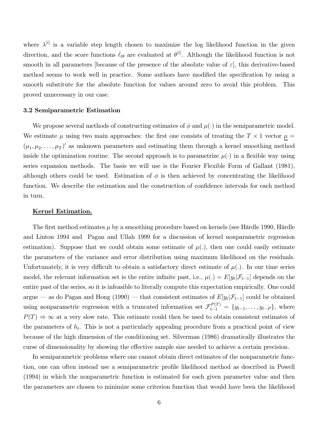where  $\lambda^{[i]}$  is a variable step length chosen to maximize the log likelihood function in the given direction, and the score functions  $\dot{\ell}_{t\theta}$  are evaluated at  $\theta^{[i]}$ . Although the likelihood function is not smooth in all parameters [because of the presence of the absolute value of  $\varepsilon$ ], this derivative-based method seems to work well in practice. Some authors have modified the specification by using a smooth substitute for the absolute function for values around zero to avoid this problem. This proved unnecessary in our case.

### 3.2 Semiparametric Estimation

We propose several methods of constructing estimates of  $\phi$  and  $\mu(\cdot)$  in the semiparametric model. We estimate  $\mu$  using two main approaches: the first one consists of treating the T  $\times$  1 vector  $\underline{\mu}$  =  $(\mu_1, \mu_2, \dots, \mu_T)'$  as unknown parameters and estimating them through a kernel smoothing method inside the optimization routine. The second approach is to parametrize  $\mu(\cdot)$  in a flexible way using series expansion methods. The basis we will use is the Fourier Flexible Form of Gallant (1981), although others could be used. Estimation of  $\phi$  is then achieved by concentrating the likelihood function. We describe the estimation and the construction of confidence intervals for each method in turn.

#### Kernel Estimation.

The first method estimates  $\mu$  by a smoothing procedure based on kernels (see Härdle 1990, Härdle and Linton 1994 and Pagan and Ullah 1999 for a discussion of kernel nonparametric regression estimation). Suppose that we could obtain some estimate of  $\mu(.)$ , then one could easily estimate the parameters of the variance and error distribution using maximum likelihood on the residuals. Unfortunately, it is very difficult to obtain a satisfactory direct estimate of  $\mu$ . In our time series model, the relevant information set is the entire infinite past, i.e.,  $\mu(.) = E[y_t | \mathcal{F}_{t-1}]$  depends on the entire past of the series, so it is infeasible to literally compute this expectation empirically. One could argue – as do Pagan and Hong (1990) – that consistent estimates of  $E[y_t|\mathcal{F}_{t-1}]$  could be obtained using nonparametric regression with a truncated information set  $\mathcal{F}_{t-1}^{P(T)} = \{y_{t-1}, \ldots, y_{t-P}\}\,$ , where  $P(T) \Rightarrow \infty$  at a very slow rate. This estimate could then be used to obtain consistent estimates of the parameters of  $h_t$ . This is not a particularly appealing procedure from a practical point of view because of the high dimension of the conditioning set. Silverman (1986) dramatically illustrates the curse of dimensionality by showing the effective sample size needed to achieve a certain precision.

In semiparametric problems where one cannot obtain direct estimates of the nonparametric function, one can often instead use a semiparametric profile likelihood method as described in Powell (1994) in which the nonparametric function is estimated for each given parameter value and then the parameters are chosen to minimize some criterion function that would have been the likelihood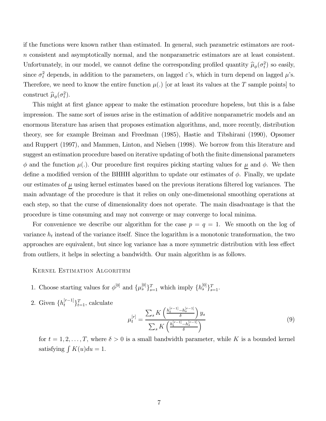if the functions were known rather than estimated. In general, such parametric estimators are root*n* consistent and asymptotically normal, and the nonparametric estimators are at least consistent. Unfortunately, in our model, we cannot define the corresponding profiled quantity  $\hat{\mu}_{\phi}(\sigma_t^2)$  so easily, since  $\sigma_t^2$  depends, in addition to the parameters, on lagged  $\varepsilon$ 's, which in turn depend on lagged  $\mu$ 's. Therefore, we need to know the entire function  $\mu(.)$  [or at least its values at the T sample points] to construct  $\hat{\mu}_{\phi}(\sigma_t^2)$ .

This might at first glance appear to make the estimation procedure hopeless, but this is a false impression. The same sort of issues arise in the estimation of additive nonparametric models and an enormous literature has arisen that proposes estimation algorithms, and, more recently, distribution theory, see for example Breiman and Freedman (1985), Hastie and Tibshirani (1990), Opsomer and Ruppert (1997), and Mammen, Linton, and Nielsen (1998). We borrow from this literature and suggest an estimation procedure based on iterative updating of both the finite dimensional parameters  $\phi$  and the function  $\mu(.)$ . Our procedure first requires picking starting values for  $\mu$  and  $\phi$ . We then define a modified version of the BHHH algorithm to update our estimates of  $\phi$ . Finally, we update our estimates of  $\mu$  using kernel estimates based on the previous iterations filtered log variances. The main advantage of the procedure is that it relies on only one-dimensional smoothing operations at each step, so that the curse of dimensionality does not operate. The main disadvantage is that the procedure is time consuming and may not converge or may converge to local minima.

For convenience we describe our algorithm for the case  $p = q = 1$ . We smooth on the log of variance  $h_t$  instead of the variance itself. Since the logarithm is a monotonic transformation, the two approaches are equivalent, but since log variance has a more symmetric distribution with less effect from outliers, it helps in selecting a bandwidth. Our main algorithm is as follows.

**KERNEL ESTIMATION ALGORITHM** 

- 1. Choose starting values for  $\phi^{[0]}$  and  $\{\mu_s^{[0]}\}_{s=1}^T$  which imply  $\{h_s^{[0]}\}_{s=1}^T$ .
- 2. Given  $\{h_t^{[r-1]}\}_{t=1}^T,$  calculate

$$
\mu_t^{[r]} = \frac{\sum_s K\left(\frac{h_t^{[r-1]} - h_s^{[r-1]}}{\delta}\right) y_s}{\sum_s K\left(\frac{h_t^{[r-1]} - h_s^{[r-1]}}{\delta}\right)}\tag{9}
$$

for  $t = 1, 2, ..., T$ , where  $\delta > 0$  is a small bandwidth parameter, while K is a bounded kernel satisfying  $\int K(u)du = 1$ .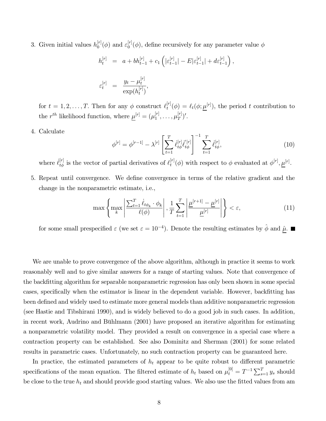3. Given initial values  $h_0^{[r]}(\phi)$  and  $\varepsilon_0^{[r]}(\phi)$ , define recursively for any parameter value  $\phi$ 

$$
h_t^{[r]} = a + bh_{t-1}^{[r]} + c_1 \left( |\varepsilon_{t-1}^{[r]}| - E |\varepsilon_{t-1}^{[r]}| + d\varepsilon_{t-1}^{[r]} \right),
$$
  

$$
\varepsilon_t^{[r]} = \frac{y_t - \mu_t^{[r]}}{\exp(h_t^{[r]})},
$$

for  $t = 1, 2, ..., T$ . Then for any  $\phi$  construct  $\ell_t^{[r]}(\phi) = \ell_t(\phi; \underline{\mu}^{[r]})$ , the period t contribution to the  $r^{th}$  likelihood function, where  $\underline{\mu}^{[r]} = (\mu_1^{[r]}, \dots, \mu_T^{[r]})'$ .

4. Calculate

$$
\phi^{[r]} = \phi^{[r-1]} - \lambda^{[r]} \left[ \sum_{t=1}^{T} \dot{\ell}_{t\phi}^{[r]} \dot{\ell}_{t\phi}^{'[r]} \right]^{-1} \sum_{t=1}^{T} \dot{\ell}_{t\phi}^{[r]},\tag{10}
$$

where  $\ell_{t\phi}^{[r]}$  is the vector of partial derivatives of  $\ell_t^{[r]}(\phi)$  with respect to  $\phi$  evaluated at  $\phi^{[r]}, \underline{\mu}^{[r]}$ .

5. Repeat until convergence. We define convergence in terms of the relative gradient and the change in the nonparametric estimate, i.e.,

$$
\max\left\{\max_{k}\left|\frac{\sum_{t=1}^{T}\dot{\ell}_{t\phi_{k}}\cdot\phi_{k}}{\ell(\phi)}\right|,\frac{1}{T}\sum_{t=1}^{T}\left|\frac{\underline{\mu}^{[r+1]}-\underline{\mu}^{[r]}}{\underline{\mu}^{[r]}}\right|\right\}<\varepsilon,\tag{11}
$$

for some small prespecified  $\varepsilon$  (we set  $\varepsilon = 10^{-4}$ ). Denote the resulting estimates by  $\hat{\phi}$  and  $\hat{\mu}$ .

We are unable to prove convergence of the above algorithm, although in practice it seems to work reasonably well and to give similar answers for a range of starting values. Note that convergence of the backfitting algorithm for separable nonparametric regression has only been shown in some special cases, specifically when the estimator is linear in the dependent variable. However, backfitting has been defined and widely used to estimate more general models than additive nonparametric regression (see Hastie and Tibshirani 1990), and is widely believed to do a good job in such cases. In addition, in recent work, Audrino and Bühlmann (2001) have proposed an iterative algorithm for estimating a nonparametric volatility model. They provided a result on convergence in a special case where a contraction property can be established. See also Dominitz and Sherman (2001) for some related results in parametric cases. Unfortunately, no such contraction property can be guaranteed here.

In practice, the estimated parameters of  $h_t$  appear to be quite robust to different parametric specifications of the mean equation. The filtered estimate of  $h_t$  based on  $\mu_t^{[0]} = T^{-1} \sum_{s=1}^T y_s$  should be close to the true  $h_t$  and should provide good starting values. We also use the fitted values from am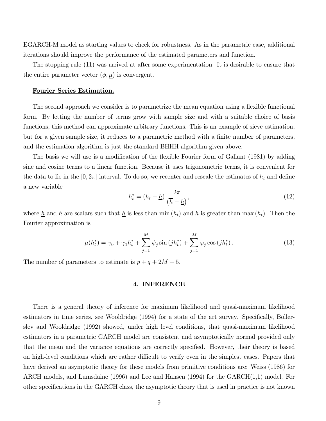EGARCH-M model as starting values to check for robustness. As in the parametric case, additional iterations should improve the performance of the estimated parameters and function.

The stopping rule (11) was arrived at after some experimentation. It is desirable to ensure that the entire parameter vector  $(\phi, \mu)$  is convergent.

### Fourier Series Estimation.

The second approach we consider is to parametrize the mean equation using a flexible functional form. By letting the number of terms grow with sample size and with a suitable choice of basis functions, this method can approximate arbitrary functions. This is an example of sieve estimation, but for a given sample size, it reduces to a parametric method with a finite number of parameters, and the estimation algorithm is just the standard BHHH algorithm given above.

The basis we will use is a modification of the flexible Fourier form of Gallant (1981) by adding sine and cosine terms to a linear function. Because it uses trigonometric terms, it is convenient for the data to lie in the  $[0, 2\pi]$  interval. To do so, we recenter and rescale the estimates of  $h_t$  and define a new variable

$$
h_t^* = (h_t - \underline{h}) \frac{2\pi}{(\overline{h} - \underline{h})},\tag{12}
$$

where  $\underline{h}$  and  $\overline{h}$  are scalars such that  $\underline{h}$  is less than min  $(h_t)$  and  $\overline{h}$  is greater than max  $(h_t)$ . Then the Fourier approximation is

$$
\mu(h_t^*) = \gamma_0 + \gamma_1 h_t^* + \sum_{j=1}^M \psi_j \sin\left(jh_t^*\right) + \sum_{j=1}^M \varphi_j \cos\left(jh_t^*\right). \tag{13}
$$

The number of parameters to estimate is  $p + q + 2M + 5$ .

### 4. INFERENCE

There is a general theory of inference for maximum likelihood and quasi-maximum likelihood estimators in time series, see Wooldridge (1994) for a state of the art survey. Specifically, Bollerslev and Wooldridge (1992) showed, under high level conditions, that quasi-maximum likelihood estimators in a parametric GARCH model are consistent and asymptotically normal provided only that the mean and the variance equations are correctly specified. However, their theory is based on high-level conditions which are rather difficult to verify even in the simplest cases. Papers that have derived an asymptotic theory for these models from primitive conditions are: Weiss (1986) for ARCH models, and Lumsdaine (1996) and Lee and Hansen (1994) for the  $GARCH(1,1)$  model. For other specifications in the GARCH class, the asymptotic theory that is used in practice is not known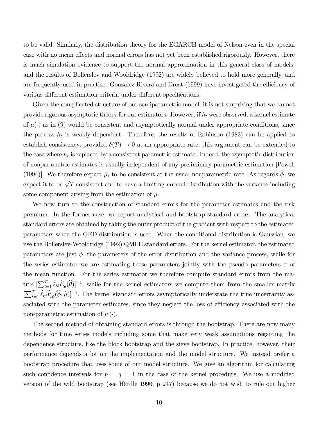to be valid. Similarly, the distribution theory for the EGARCH model of Nelson even in the special case with no mean effects and normal errors has not yet been established rigorously. However, there is much simulation evidence to support the normal approximation in this general class of models. and the results of Bollerslev and Wooldridge (1992) are widely believed to hold more generally, and are frequently used in practice. Gonzalez-Rivera and Drost (1999) have investigated the efficiency of various different estimation criteria under different specifications.

Given the complicated structure of our semiparametric model, it is not surprising that we cannot provide rigorous asymptotic theory for our estimators. However, if  $h_t$  were observed, a kernel estimate of  $\mu(\cdot)$  as in (9) would be consistent and asymptotically normal under appropriate conditions, since the process  $h_t$  is weakly dependent. Therefore, the results of Robinson (1983) can be applied to establish consistency, provided  $\delta(T) \to 0$  at an appropriate rate; this argument can be extended to the case where  $h_t$  is replaced by a consistent parametric estimate. Indeed, the asymptotic distribution of nonparametric estimates is usually independent of any preliminary parametric estimation [Powell (1994)]. We therefore expect  $\hat{\mu}_t$  to be consistent at the usual nonparametric rate. As regards  $\hat{\phi}$ , we expect it to be  $\sqrt{T}$  consistent and to have a limiting normal distribution with the variance including some component arising from the estimation of  $\mu$ .

We now turn to the construction of standard errors for the parameter estimates and the risk premium. In the former case, we report analytical and bootstrap standard errors. The analytical standard errors are obtained by taking the outer product of the gradient with respect to the estimated parameters when the GED distribution is used. When the conditional distribution is Gaussian, we use the Bollerslev-Wooldridge (1992) QMLE standard errors. For the kernel estimator, the estimated parameters are just  $\phi$ , the parameters of the error distribution and the variance process, while for the series estimator we are estimating these parameters jointly with the pseudo parameters  $\tau$  of the mean function. For the series estimator we therefore compute standard errors from the matrix  $[\sum_{t=1}^T \dot{\ell}_{t\theta} \dot{\ell}'_{t\theta}(\hat{\theta})]^{-1}$ , while for the kernel estimators we compute them from the smaller matrix  $[\sum_{t=1}^T \dot{\ell}_{t\phi} \dot{\ell}'_{t\phi}(\hat{\phi}, \hat{\mu})]^{-1}$ . The kernel standard errors asymptotically understate the true uncertainty associated with the parameter estimates, since they neglect the loss of efficiency associated with the non-parametric estimation of  $\mu(\cdot)$ .

The second method of obtaining standard errors is through the bootstrap. There are now many methods for time series models including some that make very weak assumptions regarding the dependence structure, like the block bootstrap and the sieve bootstrap. In practice, however, their performance depends a lot on the implementation and the model structure. We instead prefer a bootstrap procedure that uses some of our model structure. We give an algorithm for calculating such confidence intervals for  $p = q = 1$  in the case of the kernel procedure. We use a modified version of the wild bootstrap (see Härdle 1990, p 247) because we do not wish to rule out higher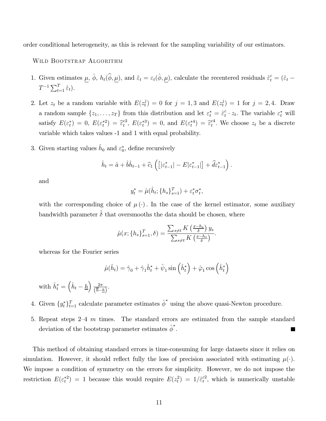order conditional heterogeneity, as this is relevant for the sampling variability of our estimators.

WILD BOOTSTRAP ALGORITHM

- 1. Given estimates  $\underline{\mu}$ ,  $\hat{\phi}$ ,  $h_t(\hat{\phi}, \underline{\mu})$ , and  $\hat{\varepsilon}_t = \varepsilon_t(\hat{\phi}, \underline{\mu})$ , calculate the recentered residuals  $\hat{\varepsilon}_t^c = (\hat{\varepsilon}_t \hat{\varepsilon}_t)$  $T^{-1} \sum_{t=1}^{T} \hat{\varepsilon}_t$ .
- 2. Let  $z_t$  be a random variable with  $E(z_t^j) = 0$  for  $j = 1,3$  and  $E(z_t^j) = 1$  for  $j = 2,4$ . Draw a random sample  $\{z_1, \ldots, z_T\}$  from this distribution and let  $\varepsilon_t^* = \hat{\varepsilon}_t^c \cdot z_t$ . The variable  $\varepsilon_t^*$  will satisfy  $E(\varepsilon_t^*) = 0$ ,  $E(\varepsilon_t^{*2}) = \hat{\varepsilon}_t^{c2}$ ,  $E(\varepsilon_t^{*3}) = 0$ , and  $E(\varepsilon_t^{*4}) = \hat{\varepsilon}_t^{c4}$ . We choose  $z_t$  be a discrete variable which takes values -1 and 1 with equal probability.
- 3. Given starting values  $h_0$  and  $\varepsilon_0^*$ , define recursively

$$
\hat{h}_t = \hat{a} + \hat{b}\hat{h}_{t-1} + \hat{c}_1 \left( \left[ |\varepsilon^*_{t-1}| - E |\varepsilon^*_{t-1}| \right] + \hat{d}\varepsilon^*_{t-1} \right).
$$

and

$$
y_t^* = \hat{\mu}(\hat{h}_t; \{h_s\}_{s=1}^T) + \varepsilon_t^* \sigma_t^*,
$$

with the corresponding choice of  $\mu(\cdot)$ . In the case of the kernel estimator, some auxiliary bandwidth parameter  $\tilde{\delta}$  that oversmooths the data should be chosen, where

$$
\hat{\mu}(x; \{h_s\}_{s=1}^T, \delta) = \frac{\sum_{s \neq t} K\left(\frac{x - h_s}{\delta}\right) y_s}{\sum_{s \neq t} K\left(\frac{x - h_s}{\delta}\right)}
$$

whereas for the Fourier series

$$
\hat{\mu}(\hat{h}_t) = \hat{\gamma}_0 + \hat{\gamma}_1 \hat{h}_t^* + \hat{\psi}_1 \sin\left(\hat{h}_t^*\right) + \hat{\varphi}_1 \cos\left(\hat{h}_t^*\right)
$$

with  $\hat{h}_t^* = \left(\hat{h}_t - \underline{h}\right) \frac{2\pi}{(\overline{h} - \underline{h})}$ .

- 4. Given  $\{y_t^*\}_{t=1}^T$  calculate parameter estimates  $\hat{\phi}^*$  using the above quasi-Newton procedure.
- 5. Repeat steps  $2-4$  m times. The standard errors are estimated from the sample standard deviation of the bootstrap parameter estimates  $\hat{\phi}^*$ .

This method of obtaining standard errors is time-consuming for large datasets since it relies on simulation. However, it should reflect fully the loss of precision associated with estimating  $\mu(\cdot)$ . We impose a condition of symmetry on the errors for simplicity. However, we do not impose the restriction  $E(\varepsilon_t^*)$  = 1 because this would require  $E(z_t^2) = 1/\hat{\varepsilon}_t^2$ , which is numerically unstable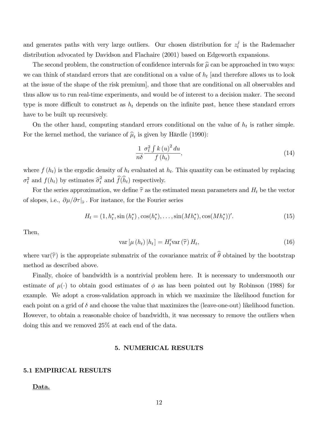and generates paths with very large outliers. Our chosen distribution for  $z_t^j$  is the Rademacher distribution advocated by Davidson and Flachaire (2001) based on Edgeworth expansions.

The second problem, the construction of confidence intervals for  $\hat{\mu}$  can be approached in two ways: we can think of standard errors that are conditional on a value of  $h_t$  [and therefore allows us to look at the issue of the shape of the risk premium, and those that are conditional on all observables and thus allow us to run real-time experiments, and would be of interest to a decision maker. The second type is more difficult to construct as  $h_t$  depends on the infinite past, hence these standard errors have to be built up recursively.

On the other hand, computing standard errors conditional on the value of  $h_t$  is rather simple. For the kernel method, the variance of  $\hat{\mu}_t$  is given by Härdle (1990):

$$
\frac{1}{n\delta} \frac{\sigma_t^2 \int k(u)^2 du}{f(h_t)},
$$
\n(14)

where  $f(h_t)$  is the ergodic density of  $h_t$  evaluated at  $h_t$ . This quantity can be estimated by replacing  $\sigma_t^2$  and  $f(h_t)$  by estimates  $\hat{\sigma}_t^2$  and  $\hat{f}(\hat{h}_t)$  respectively.

For the series approximation, we define  $\hat{\tau}$  as the estimated mean parameters and  $H_t$  be the vector of slopes, i.e.,  $\partial \mu / \partial \tau |_{\hat{\tau}}$ . For instance, for the Fourier series

$$
H_t = (1, h_t^*, \sin(h_t^*), \cos(h_t^*), \dots, \sin(Mh_t^*), \cos(Mh_t^*)'.
$$
\n(15)

Then,

$$
\text{var}\left[\mu\left(h_{t}\right)|h_{t}\right] = H'_{t}\text{var}\left(\widehat{\tau}\right)H_{t},\tag{16}
$$

where var $(\hat{\tau})$  is the appropriate submatrix of the covariance matrix of  $\hat{\theta}$  obtained by the bootstrap method as described above.

Finally, choice of bandwidth is a nontrivial problem here. It is necessary to undersmooth our estimate of  $\mu(\cdot)$  to obtain good estimates of  $\phi$  as has been pointed out by Robinson (1988) for example. We adopt a cross-validation approach in which we maximize the likelihood function for each point on a grid of  $\delta$  and choose the value that maximizes the (leave-one-out) likelihood function. However, to obtain a reasonable choice of bandwidth, it was necessary to remove the outliers when doing this and we removed 25% at each end of the data.

### **5. NUMERICAL RESULTS**

### **5.1 EMPIRICAL RESULTS**

Data.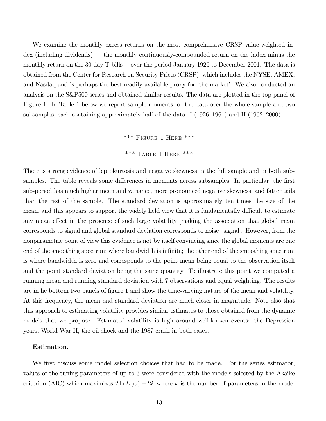We examine the monthly excess returns on the most comprehensive CRSP value-weighted in- $\gamma$  dex (including dividends) — the monthly continuously-compounded return on the index minus the monthly return on the 30-day T-bills— over the period January 1926 to December 2001. The data is obtained from the Center for Research on Security Prices (CRSP), which includes the NYSE, AMEX, and Nasdaq and is perhaps the best readily available proxy for 'the market'. We also conducted an analysis on the S&P500 series and obtained similar results. The data are plotted in the top panel of Figure 1. In Table 1 below we report sample moments for the data over the whole sample and two subsamples, each containing approximately half of the data: I (1926–1961) and II (1962–2000).

### \*\*\* FIGURE 1 HERE \*\*\*

\*\*\* TABLE 1 HERE \*\*\*

There is strong evidence of leptokurtosis and negative skewness in the full sample and in both subsamples. The table reveals some differences in moments across subsamples. In particular, the first sub-period has much higher mean and variance, more pronounced negative skewness, and fatter tails than the rest of the sample. The standard deviation is approximately ten times the size of the mean, and this appears to support the widely held view that it is fundamentally difficult to estimate any mean effect in the presence of such large volatility making the association that global mean corresponds to signal and global standard deviation corresponds to noise+signal. However, from the nonparametric point of view this evidence is not by itself convincing since the global moments are one end of the smoothing spectrum where bandwidth is infinite; the other end of the smoothing spectrum is where bandwidth is zero and corresponds to the point mean being equal to the observation itself and the point standard deviation being the same quantity. To illustrate this point we computed a running mean and running standard deviation with 7 observations and equal weighting. The results are in he bottom two panels of figure 1 and show the time-varying nature of the mean and volatility. At this frequency, the mean and standard deviation are much closer in magnitude. Note also that this approach to estimating volatility provides similar estimates to those obtained from the dynamic models that we propose. Estimated volatility is high around well-known events: the Depression years, World War II, the oil shock and the 1987 crash in both cases.

### Estimation.

We first discuss some model selection choices that had to be made. For the series estimator, values of the tuning parameters of up to 3 were considered with the models selected by the Akaike criterion (AIC) which maximizes  $2 \ln L(\omega) - 2k$  where k is the number of parameters in the model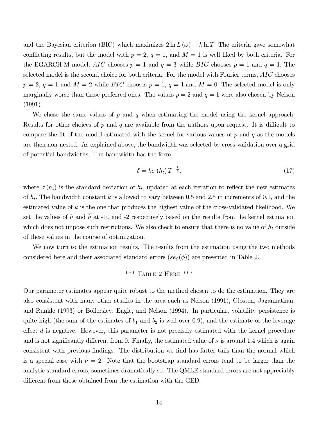and the Bayesian criterion (BIC) which maximizes  $2 \ln L(\omega) - k \ln T$ . The criteria gave somewhat conflicting results, but the model with  $p = 2$ ,  $q = 1$ , and  $M = 1$  is well liked by both criteria. For the EGARCH-M model, AIC chooses  $p = 1$  and  $q = 3$  while BIC chooses  $p = 1$  and  $q = 1$ . The selected model is the second choice for both criteria. For the model with Fourier terms, AIC chooses  $p = 2, q = 1$  and  $M = 2$  while BIC chooses  $p = 1, q = 1$ , and  $M = 0$ . The selected model is only marginally worse than these preferred ones. The values  $p = 2$  and  $q = 1$  were also chosen by Nelson  $(1991).$ 

We chose the same values of p and q when estimating the model using the kernel approach. Results for other choices of p and q are available from the authors upon request. It is difficult to compare the fit of the model estimated with the kernel for various values of  $p$  and  $q$  as the models are then non-nested. As explained above, the bandwidth was selected by cross-validation over a grid of potential bandwidths. The bandwidth has the form:

$$
\delta = k\sigma \left( h_t \right) T^{-\frac{1}{5}},\tag{17}
$$

where  $\sigma(h_t)$  is the standard deviation of  $h_t$ , updated at each iteration to reflect the new estimates of  $h_t$ . The bandwidth constant k is allowed to vary between 0.5 and 2.5 in increments of 0.1, and the estimated value of  $k$  is the one that produces the highest value of the cross-validated likelihood. We set the values of  $\underline{h}$  and  $\overline{h}$  at -10 and -2 respectively based on the results from the kernel estimation which does not impose such restrictions. We also check to ensure that there is no value of  $h_t$  outside of these values in the course of optimization.

We now turn to the estimation results. The results from the estimation using the two methods considered here and their associated standard errors  $(se_{\phi}(\phi))$  are presented in Table 2.

$$
***\ \mathrm{TABLE}\ 2\ \mathrm{HERE}\ ^{***}
$$

Our parameter estimates appear quite robust to the method chosen to do the estimation. They are also consistent with many other studies in the area such as Nelson (1991), Glosten, Jagannathan, and Runkle (1993) or Bollerslev, Engle, and Nelson (1994). In particular, volatility persistence is quite high (the sum of the estimates of  $b_1$  and  $b_2$  is well over 0.9), and the estimate of the leverage effect  $d$  is negative. However, this parameter is not precisely estimated with the kernel procedure and is not significantly different from 0. Finally, the estimated value of  $\nu$  is around 1.4 which is again consistent with previous findings. The distribution we find has fatter tails than the normal which is a special case with  $\nu = 2$ . Note that the bootstrap standard errors tend to be larger than the analytic standard errors, sometimes dramatically so. The QMLE standard errors are not appreciably different from those obtained from the estimation with the GED.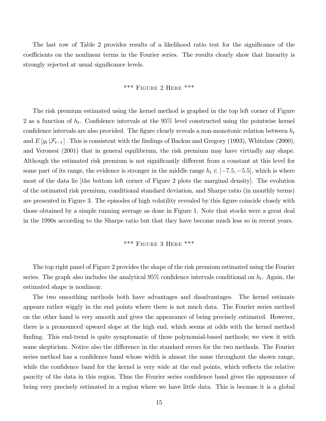The last row of Table 2 provides results of a likelihood ratio test for the significance of the coefficients on the nonlinear terms in the Fourier series. The results clearly show that linearity is strongly rejected at usual significance levels.

## \*\*\* FIGURE 2 HERE \*\*\*

The risk premium estimated using the kernel method is graphed in the top left corner of Figure 2 as a function of  $h_t$ . Confidence intervals at the 95% level constructed using the pointwise kernel confidence intervals are also provided. The figure clearly reveals a non-monotonic relation between  $h_t$ and  $E[y_t | \mathcal{F}_{t-1}]$ . This is consistent with the findings of Backus and Gregory (1993), Whitelaw (2000), and Veronesi (2001) that in general equilibrium, the risk premium may have virtually any shape. Although the estimated risk premium is not significantly different from a constant at this level for some part of its range, the evidence is stronger in the middle range  $h_t \in [-7.5, -5.5]$ , which is where most of the data lie the bottom left corner of Figure 2 plots the marginal density. The evolution of the estimated risk premium, conditional standard deviation, and Sharpe ratio (in monthly terms) are presented in Figure 3. The episodes of high volatility revealed by this figure coincide closely with those obtained by a simple running average as done in Figure 1. Note that stocks were a great deal in the 1990s according to the Sharpe ratio but that they have become much less so in recent years.

### \*\*\* FIGURE 3 HERE \*\*\*

The top right panel of Figure 2 provides the shape of the risk premium estimated using the Fourier series. The graph also includes the analytical  $95\%$  confidence intervals conditional on  $h_t$ . Again, the estimated shape is nonlinear.

The two smoothing methods both have advantages and disadvantages. The kernel estimate appears rather wiggly in the end points where there is not much data. The Fourier series method on the other hand is very smooth and gives the appearance of being precisely estimated. However, there is a pronounced upward slope at the high end, which seems at odds with the kernel method finding. This end-trend is quite symptomatic of these polynomial-based methods; we view it with some skepticism. Notice also the difference in the standard errors for the two methods. The Fourier series method has a confidence band whose width is almost the same throughout the shown range, while the confidence band for the kernel is very wide at the end points, which reflects the relative paucity of the data in this region. Thus the Fourier series confidence band gives the appearance of being very precisely estimated in a region where we have little data. This is because it is a global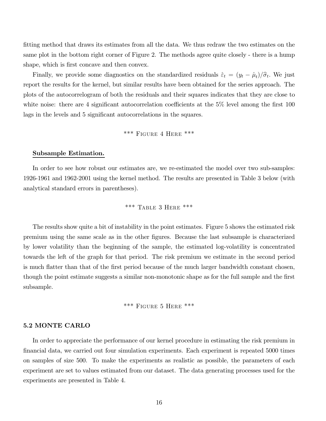fitting method that draws its estimates from all the data. We thus redraw the two estimates on the same plot in the bottom right corner of Figure 2. The methods agree quite closely - there is a hump shape, which is first concave and then convex.

Finally, we provide some diagnostics on the standardized residuals  $\hat{\varepsilon}_t = (y_t - \hat{\mu}_t)/\hat{\sigma}_t$ . We just report the results for the kernel, but similar results have been obtained for the series approach. The plots of the autocorrelogram of both the residuals and their squares indicates that they are close to white noise: there are 4 significant autocorrelation coefficients at the  $5\%$  level among the first 100 lags in the levels and 5 significant autocorrelations in the squares.

### \*\*\* FIGURE 4 HERE \*\*\*

#### Subsample Estimation.

In order to see how robust our estimates are, we re-estimated the model over two sub-samples: 1926-1961 and 1962-2001 using the kernel method. The results are presented in Table 3 below (with analytical standard errors in parentheses).

### \*\*\* TABLE 3 HERE \*\*\*

The results show quite a bit of instability in the point estimates. Figure 5 shows the estimated risk premium using the same scale as in the other figures. Because the last subsample is characterized by lower volatility than the beginning of the sample, the estimated log-volatility is concentrated towards the left of the graph for that period. The risk premium we estimate in the second period is much flatter than that of the first period because of the much larger bandwidth constant chosen, though the point estimate suggests a similar non-monotonic shape as for the full sample and the first subsample.

### \*\*\* FIGURE 5 HERE \*\*\*

### **5.2 MONTE CARLO**

In order to appreciate the performance of our kernel procedure in estimating the risk premium in financial data, we carried out four simulation experiments. Each experiment is repeated 5000 times on samples of size 500. To make the experiments as realistic as possible, the parameters of each experiment are set to values estimated from our dataset. The data generating processes used for the experiments are presented in Table 4.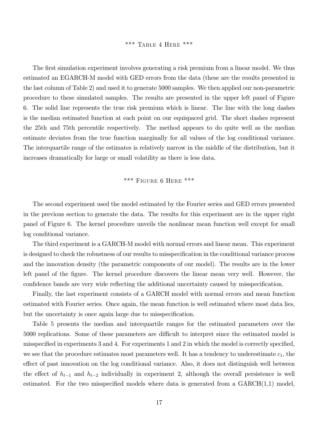### \*\*\* TABLE 4 HERE \*\*\*

The first simulation experiment involves generating a risk premium from a linear model. We thus estimated an EGARCH-M model with GED errors from the data (these are the results presented in the last column of Table 2) and used it to generate 5000 samples. We then applied our non-parametric procedure to these simulated samples. The results are presented in the upper left panel of Figure 6. The solid line represents the true risk premium which is linear. The line with the long dashes is the median estimated function at each point on our equispaced grid. The short dashes represent the 25th and 75th percentile respectively. The method appears to do quite well as the median estimate deviates from the true function marginally for all values of the log conditional variance. The interquartile range of the estimates is relatively narrow in the middle of the distribution, but it increases dramatically for large or small volatility as there is less data.

### \*\*\* FIGURE 6 HERE \*\*\*

The second experiment used the model estimated by the Fourier series and GED errors presented in the previous section to generate the data. The results for this experiment are in the upper right panel of Figure 6. The kernel procedure unveils the nonlinear mean function well except for small log conditional variance.

The third experiment is a GARCH-M model with normal errors and linear mean. This experiment is designed to check the robustness of our results to misspecification in the conditional variance process and the innovation density (the parametric components of our model). The results are in the lower left panel of the figure. The kernel procedure discovers the linear mean very well. However, the confidence bands are very wide reflecting the additional uncertainty caused by misspecification.

Finally, the last experiment consists of a GARCH model with normal errors and mean function estimated with Fourier series. Once again, the mean function is well estimated where most data lies, but the uncertainty is once again large due to misspecification.

Table 5 presents the median and interquartile ranges for the estimated parameters over the 5000 replications. Some of these parameters are difficult to interpret since the estimated model is misspecified in experiments 3 and 4. For experiments 1 and 2 in which the model is correctly specified, we see that the procedure estimates most parameters well. It has a tendency to underestimate  $c_1$ , the effect of past innovation on the log conditional variance. Also, it does not distinguish well between the effect of  $h_{t-1}$  and  $h_{t-2}$  individually in experiment 2, although the overall persistence is well estimated. For the two misspecified models where data is generated from a  $GARCH(1,1)$  model,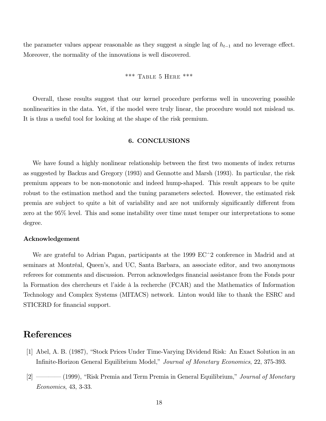the parameter values appear reasonable as they suggest a single lag of  $h_{t-1}$  and no leverage effect. Moreover, the normality of the innovations is well discovered.

$$
***\text{ TABLE 5 HERE }***
$$

Overall, these results suggest that our kernel procedure performs well in uncovering possible nonlinearities in the data. Yet, if the model were truly linear, the procedure would not mislead us. It is thus a useful tool for looking at the shape of the risk premium.

### 6. CONCLUSIONS

We have found a highly nonlinear relationship between the first two moments of index returns as suggested by Backus and Gregory (1993) and Gennotte and Marsh (1993). In particular, the risk premium appears to be non-monotonic and indeed hump-shaped. This result appears to be quite robust to the estimation method and the tuning parameters selected. However, the estimated risk premia are subject to quite a bit of variability and are not uniformly significantly different from zero at the  $95\%$  level. This and some instability over time must temper our interpretations to some degree.

### Acknowledgement

We are grateful to Adrian Pagan, participants at the 1999  $EC^2$  conference in Madrid and at seminars at Montréal, Queen's, and UC, Santa Barbara, an associate editor, and two anonymous referees for comments and discussion. Perron acknowledges financial assistance from the Fonds pour la Formation des chercheurs et l'aide à la recherche (FCAR) and the Mathematics of Information Technology and Complex Systems (MITACS) network. Linton would like to thank the ESRC and STICERD for financial support.

# References

- [1] Abel, A. B. (1987), "Stock Prices Under Time-Varying Dividend Risk: An Exact Solution in an Infinite-Horizon General Equilibrium Model," Journal of Monetary Economics, 22, 375-393.
- $[2] \ \$  (1999), "Risk Premia and Term Premia in General Equilibrium," *Journal of Monetary* Economics, 43, 3-33.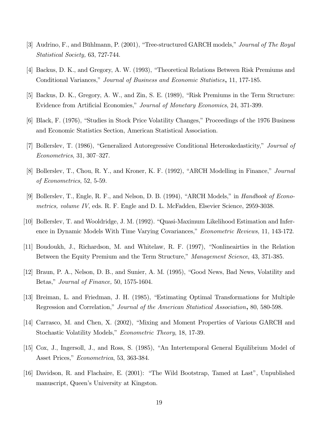- [3] Audrino, F., and Bühlmann, P. (2001), "Tree-structured GARCH models," Journal of The Royal  $Statistical Society, 63, 727-744.$
- [4] Backus, D. K., and Gregory, A. W. (1993), "Theoretical Relations Between Risk Premiums and Conditional Variances," Journal of Business and Economic Statistics, 11, 177-185.
- [5] Backus, D. K., Gregory, A. W., and Zin, S. E. (1989), "Risk Premiums in the Term Structure: Evidence from Artificial Economies," Journal of Monetary Economics, 24, 371-399.
- [6] Black, F. (1976), "Studies in Stock Price Volatility Changes," Proceedings of the 1976 Business and Economic Statistics Section, American Statistical Association.
- [7] Bollerslev, T. (1986), "Generalized Autoregressive Conditional Heteroskedasticity," *Journal of*  $Econometrics, 31, 307-327.$
- [8] Bollerslev, T., Chou, R. Y., and Kroner, K. F. (1992), "ARCH Modelling in Finance," *Journal* of Econometrics,  $52, 5-59$ .
- [9] Bollerslev, T., Engle, R. F., and Nelson, D. B.  $(1994)$ , "ARCH Models," in *Handbook of Econo* $metrics, volume IV, eds. R. F. Engle and D. L. McFadden, Elsevier Science, 2959-3038.$
- [10] Bollerslev, T. and Wooldridge, J. M. (1992). "Quasi-Maximum Likelihood Estimation and Inference in Dynamic Models With Time Varying Covariances," *Econometric Reviews*, 11, 143-172.
- [11] Boudoukh, J., Richardson, M. and Whitelaw, R. F. (1997), "Nonlineairties in the Relation Between the Equity Premium and the Term Structure," Management Science, 43, 371-385.
- [12] Braun, P. A., Nelson, D. B., and Sunier, A. M.  $(1995)$ , "Good News, Bad News, Volatility and Betas," Journal of Finance,  $50, 1575$ -1604.
- [13] Breiman, L. and Friedman, J. H.  $(1985)$ , "Estimating Optimal Transformations for Multiple Regression and Correlation," Journal of the American Statistical Association, 80, 580-598.
- [14] Carrasco, M. and Chen, X. (2002), "Mixing and Moment Properties of Various GARCH and Stochastic Volatility Models," *Econometric Theory*, 18, 17-39.
- [15] Cox, J., Ingersoll, J., and Ross, S. (1985), "An Intertemporal General Equilibrium Model of Asset Prices," *Econometrica*, 53, 363-384.
- [16] Davidson, R. and Flachaire, E. (2001): "The Wild Bootstrap, Tamed at Last", Unpublished manuscript, Queen's University at Kingston.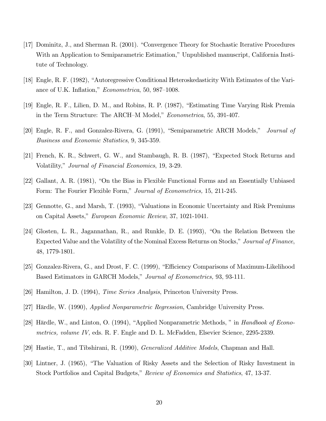- [17] Dominitz, J., and Sherman R. (2001). "Convergence Theory for Stochastic Iterative Procedures With an Application to Semiparametric Estimation," Unpublished manuscript, California Institute of Technology.
- [18] Engle, R. F. (1982), "Autoregressive Conditional Heteroskedasticity With Estimates of the Variance of U.K. Inflation," Econometrica, 50, 987-1008.
- [19] Engle, R. F., Lilien, D. M., and Robins, R. P. (1987), "Estimating Time Varying Risk Premia in the Term Structure: The ARCH-M Model," *Econometrica*, 55, 391-407.
- [20] Engle, R. F., and Gonzalez-Rivera, G. (1991), "Semiparametric ARCH Models," Journal of Business and Economic Statistics, 9, 345-359.
- [21] French, K. R., Schwert, G. W., and Stambaugh, R. B. (1987), "Expected Stock Returns and Volatility," *Journal of Financial Economics*, 19, 3-29.
- [22] Gallant, A. R. (1981), "On the Bias in Flexible Functional Forms and an Essentially Unbiased Form: The Fourier Flexible Form," Journal of Econometrics, 15, 211-245.
- [23] Gennotte, G., and Marsh, T. (1993), "Valuations in Economic Uncertainty and Risk Premiums on Capital Assets," European Economic Review, 37, 1021-1041.
- [24] Glosten, L. R., Jagannathan, R., and Runkle, D. E.  $(1993)$ , "On the Relation Between the Expected Value and the Volatility of the Nominal Excess Returns on Stocks," Journal of Finance, 48, 1779-1801.
- [25] Gonzalez-Rivera, G., and Drost, F. C. (1999), "Efficiency Comparisons of Maximum-Likelihood Based Estimators in GARCH Models," *Journal of Econometrics*, 93, 93-111.
- [26] Hamilton, J. D. (1994), *Time Series Analysis*, Princeton University Press.
- [27] Härdle, W. (1990), *Applied Nonparametric Regression*, Cambridge University Press.
- [28] Härdle, W., and Linton, O. (1994), "Applied Nonparametric Methods," in *Handbook of Econo* $metrics, volume IV, eds. R. F. Engle and D. L. McFadden, Elsevier Science, 2295-2339.$
- [29] Hastie, T., and Tibshirani, R. (1990), *Generalized Additive Models*, Chapman and Hall.
- [30] Lintner, J. (1965), "The Valuation of Risky Assets and the Selection of Risky Investment in Stock Portfolios and Capital Budgets," *Review of Economics and Statistics*, 47, 13-37.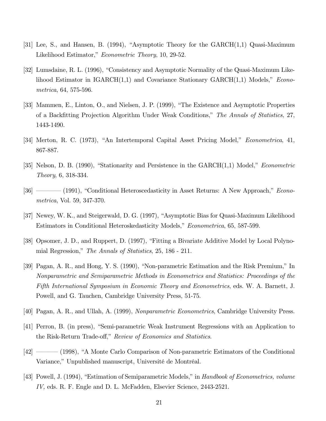- [31] Lee, S., and Hansen, B. (1994), "Asymptotic Theory for the  $GARCH(1,1)$  Quasi-Maximum Likelihood Estimator," *Econometric Theory*, 10, 29-52.
- [32] Lumsdaine, R. L. (1996), "Consistency and Asymptotic Normality of the Quasi-Maximum Likelihood Estimator in  $IGARCH(1,1)$  and Covariance Stationary  $GARCH(1,1)$  Models,"  $Econo$ metrica,  $64, 575-596.$
- [33] Mammen, E., Linton, O., and Nielsen, J. P. (1999), "The Existence and Asymptotic Properties of a Backfitting Projection Algorithm Under Weak Conditions," The Annals of Statistics, 27, 1443-1490.
- [34] Merton, R. C. (1973), "An Intertemporal Capital Asset Pricing Model," *Econometrica*, 41, 867-887.
- [35] Nelson, D. B. (1990), "Stationarity and Persistence in the  $GARCH(1,1)$  Model," *Econometric*  $Theory, 6, 318-334.$
- $[36]$   $[36]$  (1991), "Conditional Heteroscedasticity in Asset Returns: A New Approach," *Econo*metrica, Vol. 59, 347-370.
- [37] Newey, W. K., and Steigerwald, D. G. (1997), "Asymptotic Bias for Quasi-Maximum Likelihood Estimators in Conditional Heteroskedasticity Models," *Econometrica*, 65, 587-599.
- [38] Opsomer, J. D., and Ruppert, D. (1997), "Fitting a Bivariate Additive Model by Local Polynomial Regression," The Annals of Statistics,  $25, 186 - 211$ .
- [39] Pagan, A. R., and Hong, Y. S. (1990), "Non-parametric Estimation and the Risk Premium," In Nonparametric and Semiparametric Methods in Econometrics and Statistics: Proceedings of the Fifth International Symposium in Economic Theory and Econometrics, eds. W. A. Barnett, J. Powell, and G. Tauchen, Cambridge University Press, 51-75.
- [40] Pagan, A. R., and Ullah, A. (1999), *Nonparametric Econometrics*, Cambridge University Press.
- [41] Perron, B. (in press), "Semi-parametric Weak Instrument Regressions with an Application to the Risk-Return Trade-off," Review of Economics and Statistics.
- GA\$H FFF@ <0==1>+ T  .2   - Variance," Unpublished manuscript, Université de Montréal.
- [43] Powell, J. (1994), "Estimation of Semiparametric Models," in Handbook of Econometrics, volume  $IV$ , eds. R. F. Engle and D. L. McFadden, Elsevier Science, 2443-2521.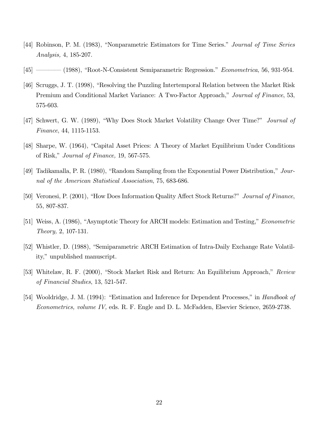- [44] Robinson, P. M. (1983), "Nonparametric Estimators for Time Series." Journal of Time Series Analysis,  $4, 185-207$ .
- $[45]$  ———— (1988), "Root-N-Consistent Semiparametric Regression." *Econometrica*, 56, 931-954.
- [46] Scruggs, J. T. (1998), "Resolving the Puzzling Intertemporal Relation between the Market Risk Premium and Conditional Market Variance: A Two-Factor Approach," Journal of Finance, 53, 575-603.
- [47] Schwert, G. W. (1989), "Why Does Stock Market Volatility Change Over Time?" *Journal of* Finance,  $44, 1115 - 1153$ .
- [48] Sharpe, W. (1964), "Capital Asset Prices: A Theory of Market Equilibrium Under Conditions of Risk," Journal of Finance,  $19, 567-575$ .
- [49] Tadikamalla, P. R. (1980), "Random Sampling from the Exponential Power Distribution," Journal of the American Statistical Association, 75, 683-686.
- [50] Veronesi, P. (2001), "How Does Information Quality Affect Stock Returns?" Journal of Finance, 55, 807-837.
- [51] Weiss, A. (1986), "Asymptotic Theory for ARCH models: Estimation and Testing," *Econometric*  $Theory, 2, 107-131.$
- [52] Whistler, D. (1988), "Semiparametric ARCH Estimation of Intra-Daily Exchange Rate Volatility," unpublished manuscript.
- [53] Whitelaw, R. F. (2000), "Stock Market Risk and Return: An Equilibrium Approach," Review of Financial Studies,  $13, 521-547$ .
- [54] Wooldridge, J. M. (1994): "Estimation and Inference for Dependent Processes," in Handbook of Econometrics, volume IV, eds. R. F. Engle and D. L. McFadden, Elsevier Science, 2659-2738.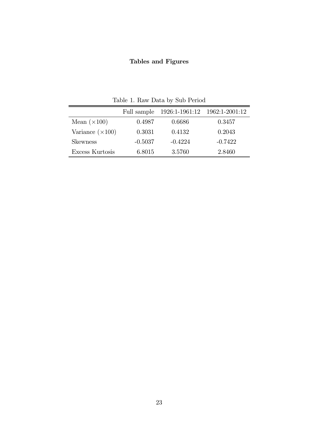# Tables and Figures

|                         | Full sample | 1926:1-1961:12 1962:1-2001:12 |           |  |  |
|-------------------------|-------------|-------------------------------|-----------|--|--|
| Mean $(\times 100)$     | 0.4987      | 0.6686                        | 0.3457    |  |  |
| Variance $(\times 100)$ | 0.3031      | 0.4132                        | 0.2043    |  |  |
| <b>Skewness</b>         | $-0.5037$   | $-0.4224$                     | $-0.7422$ |  |  |
| Excess Kurtosis         | 6.8015      | 3.5760                        | 2.8460    |  |  |

Table 1. Raw Data by  $\operatorname{Sub}$  Period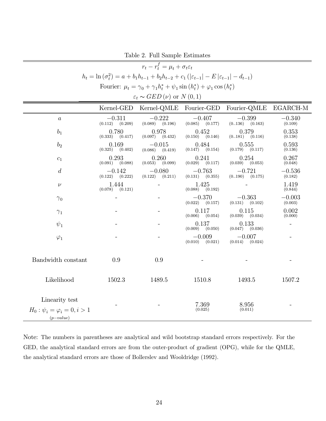Table 2. Full Sample Estimates

| $r_t - r_t^f = \mu_t + \sigma_t \varepsilon_t$                                                                        |                                 |                                 |                                 |                                 |                     |  |  |
|-----------------------------------------------------------------------------------------------------------------------|---------------------------------|---------------------------------|---------------------------------|---------------------------------|---------------------|--|--|
| $h_t = \ln(\sigma_t^2) = a + b_1 h_{t-1} + b_2 h_{t-2} + c_1 ( \varepsilon_{t-1}  - E  \varepsilon_{t-1}  - d_{t-1})$ |                                 |                                 |                                 |                                 |                     |  |  |
| Fourier: $\mu_t = \gamma_0 + \gamma_1 h_t^* + \psi_1 \sin(h_t^*) + \varphi_1 \cos(h_t^*)$                             |                                 |                                 |                                 |                                 |                     |  |  |
| $\varepsilon_t \sim GED(\nu)$ or $N(0,1)$                                                                             |                                 |                                 |                                 |                                 |                     |  |  |
| Kernel-GED<br>Fourier-QMLE<br>Kernel-QMLE Fourier-GED<br>EGARCH-M                                                     |                                 |                                 |                                 |                                 |                     |  |  |
| $\boldsymbol{a}$                                                                                                      | $-0.311$<br>$(0.112)$ $(0.209)$ | $-0.222$<br>$(0.089)$ $(0.196)$ | $-0.407$<br>$(0.085)$ $(0.177)$ | $-0.399$<br>$(0.136)$ $(0.163)$ | $-0.340$<br>(0.109) |  |  |
| $b_1$                                                                                                                 | 0.780<br>$(0.333)$ $(0.417)$    | 0.978<br>$(0.097)$ $(0.432)$    | 0.452<br>$(0.150)$ $(0.146)$    | 0.379<br>$(0.181)$ $(0.116)$    | 0.353<br>(0.138)    |  |  |
| b <sub>2</sub>                                                                                                        | 0.169<br>$(0.325)$ $(0.402)$    | $-0.015$<br>$(0.086)$ $(0.419)$ | 0.484<br>(0.154)<br>(0.147)     | 0.555<br>$(0.179)$ $(0.117)$    | 0.593<br>(0.136)    |  |  |
| $c_1$                                                                                                                 | 0.293<br>$(0.091)$ $(0.088)$    | 0.260<br>$(0.053)$ $(0.099)$    | 0.241<br>(0.117)<br>(0.029)     | 0.254<br>$(0.039)$ $(0.053)$    | 0.267<br>(0.048)    |  |  |
| $\overline{d}$                                                                                                        | $-0.142$<br>(0.222)<br>(0.122)  | $-0.080$<br>$(0.122)$ $(0.211)$ | $-0.763$<br>(0.131)<br>(0.355)  | $-0.721$<br>(0190)<br>(0.175)   | $-0.536$<br>(0.182) |  |  |
| $\nu$                                                                                                                 | 1.444<br>$(0.078)$ $(0.121)$    |                                 | 1.425<br>(0.088)<br>(0.192)     |                                 | 1.419<br>(0.844)    |  |  |
| $\gamma_0$                                                                                                            |                                 |                                 | $-0.370$<br>(0.022)<br>(0.157)  | $-0.363$<br>$(0.131)$ $(0.102)$ | $-0.003$<br>(0.003) |  |  |
| $\gamma_1$                                                                                                            |                                 |                                 | 0.117<br>(0.006)<br>(0.054)     | 0.115<br>$(0.039)$ $(0.034)$    | 0.002<br>(0.000)    |  |  |
| $\psi_1$                                                                                                              |                                 |                                 | 0.137<br>(0.009)<br>(0.050)     | 0.133<br>$(0.047)$ $(0.036)$    |                     |  |  |
| $\varphi_1$                                                                                                           |                                 |                                 | $-0.009$<br>(0.010)<br>(0.021)  | $-0.007$<br>$(0.014)$ $(0.024)$ |                     |  |  |
| Bandwidth constant                                                                                                    | 0.9                             | 0.9                             |                                 |                                 |                     |  |  |
| Likelihood                                                                                                            | 1502.3                          | 1489.5                          | 1510.8                          | 1493.5                          | 1507.2              |  |  |
| Linearity test<br>$H_0: \psi_i = \varphi_i = 0, i > 1$<br>$(p-value)$                                                 |                                 |                                 | 7.369<br>(0.025)                | 8.956<br>(0.011)                |                     |  |  |

Note: The numbers in parentheses are analytical and wild bootstrap standard errors respectively. For the GED, the analytical standard errors are from the outer-product of gradient  $(OPG)$ , while for the QMLE, the analytical standard errors are those of Bollerslev and Wooldridge (1992).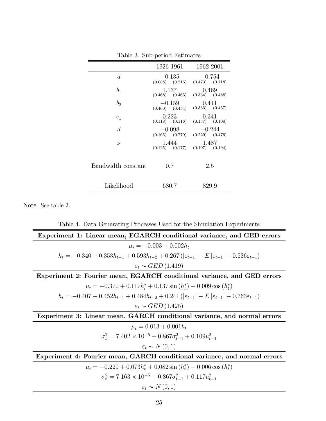|                    | 1926-1961                       | 1962-2001                                           |
|--------------------|---------------------------------|-----------------------------------------------------|
| $\boldsymbol{a}$   | $-0.135$<br>$(0.088)$ $(0.216)$ | $-0.754$<br>$(0.473)$ $(0.718)$                     |
| $b_1$              | 1.137<br>$(0.468)$ $(0.465)$    | 0.469<br>$(0.334)$ $(0.488)$                        |
| b <sub>2</sub>     | $-0.159$<br>$(0.460)$ $(0.454)$ | 0.411<br>$(0.333)$ $(0.467)$                        |
| $c_1$              | 0.223                           | 0.341<br>$(0.118)$ $(0.116)$ $(0.137)$ $(0.108)$    |
| $\overline{d}$     | $-0.098$                        | $-0.244$<br>$(0.165)$ $(0.779)$ $(0.229)$ $(0.476)$ |
| $\nu$              | 1.444                           | 1.487<br>$(0.125)$ $(0.177)$ $(0.107)$ $(0.194)$    |
| Bandwidth constant | 0.7                             | 2.5                                                 |
| Likelihood         | 680.7                           | 829.9                                               |

Table 3. Sub-period Estimates

Note: See table 2.

Table 4. Data Generating Processes Used for the Simulation Experiments Experiment 1: Linear mean, EGARCH conditional variance, and GED errors  $\mu_t = -0.003 - 0.002h_t$  $h_t = -0.340 + 0.353h_{t-1} + 0.593h_{t-2} + 0.267(|\varepsilon_{t-1}| - E|\varepsilon_{t-1}| - 0.536\varepsilon_{t-1})$  $\varepsilon_t \sim GED(1.419)$ Experiment 2: Fourier mean, EGARCH conditional variance, and GED errors  $\mu_t = -0.370 + 0.117h_t^* + 0.137\sin(h_t^*) - 0.009\cos(h_t^*)$  $h_t = -0.407 + 0.452h_{t-1} + 0.484h_{t-2} + 0.241(|\varepsilon_{t-1}| - E|\varepsilon_{t-1}| - 0.763\varepsilon_{t-1})$  $\varepsilon_t \sim GED(1.425)$ Experiment 3: Linear mean, GARCH conditional variance, and normal errors  $\mu_t = 0.013 + 0.001 h_t$  $\sigma_t^2 = 7.402 \times 10^{-5} + 0.867 \sigma_{t-1}^2 + 0.109 u_{t-1}^2$  $\varepsilon_t \sim N(0,1)$ Experiment 4: Fourier mean, GARCH conditional variance, and normal errors  $\mu_t = -0.229 + 0.073h_t^* + 0.082\sin(h_t^*) - 0.006\cos(h_t^*)$  $\sigma_t^2 = 7.163 \times 10^{-5} + 0.867 \sigma_{t-1}^2 + 0.117 u_{t-1}^2$  $\varepsilon_t \thicksim N\left(0,1\right)$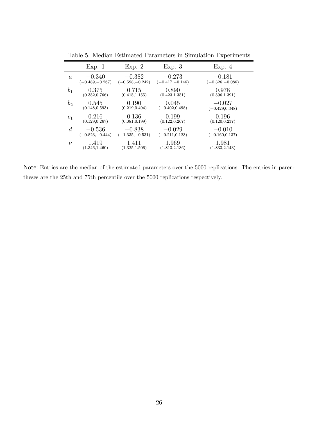|                  | Exp. 1            | Exp. 2            | Exp. 3            | Exp. 4            |
|------------------|-------------------|-------------------|-------------------|-------------------|
| $\boldsymbol{a}$ | $-0.340$          | $-0.382$          | $-0.273$          | $-0.181$          |
|                  | $(-0.489,-0.267)$ | $(-0.598,-0.242)$ | $(-0.417,-0.146)$ | $(-0.326,-0.086)$ |
| b <sub>1</sub>   | 0.375             | 0.715             | 0.890             | 0.978             |
|                  | (0.352, 0.766)    | (0.415, 1.155)    | (0.423, 1.351)    | (0.596, 1.391)    |
| $b_2$            | 0.545             | 0.190             | 0.045             | $-0.027$          |
|                  | (0.148, 0.593)    | (0.219, 0.494)    | $(-0.402, 0.498)$ | $(-0.429, 0.348)$ |
| $c_1$            | 0.216             | 0.136             | 0.199             | 0.196             |
|                  | (0.129, 0.267)    | (0.081, 0.199)    | (0.122, 0.267)    | (0.120, 0.237)    |
| $\overline{d}$   | $-0.536$          | $-0.838$          | $-0.029$          | $-0.010$          |
|                  | $(-0.823,-0.444)$ | $(-1.335,-0.531)$ | $(-0.211, 0.123)$ | $(-0.160, 0.137)$ |
| $\nu$            | 1.419             | 1.411             | 1.969             | 1.981             |
|                  | (1.346, 1.460)    | (1.325, 1.506)    | (1.813, 2.136)    | (1.833, 2.143)    |

Table 5. Median Estimated Parameters in Simulation Experiments

Note: Entries are the median of the estimated parameters over the 5000 replications. The entries in parentheses are the 25th and 75th percentile over the 5000 replications respectively.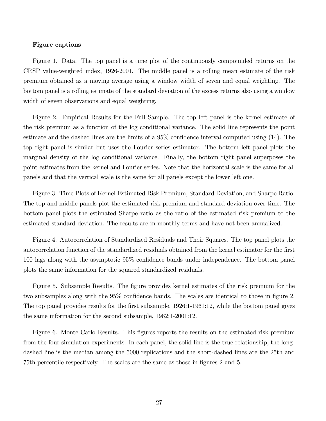#### **Figure captions**

Figure 1. Data. The top panel is a time plot of the continuously compounded returns on the CRSP value-weighted index, 1926-2001. The middle panel is a rolling mean estimate of the risk premium obtained as a moving average using a window width of seven and equal weighting. The bottom panel is a rolling estimate of the standard deviation of the excess returns also using a window width of seven observations and equal weighting.

Figure 2. Empirical Results for the Full Sample. The top left panel is the kernel estimate of the risk premium as a function of the log conditional variance. The solid line represents the point estimate and the dashed lines are the limits of a  $95\%$  confidence interval computed using  $(14)$ . The top right panel is similar but uses the Fourier series estimator. The bottom left panel plots the marginal density of the log conditional variance. Finally, the bottom right panel superposes the point estimates from the kernel and Fourier series. Note that the horizontal scale is the same for all panels and that the vertical scale is the same for all panels except the lower left one.

Figure 3. Time Plots of Kernel-Estimated Risk Premium, Standard Deviation, and Sharpe Ratio. The top and middle panels plot the estimated risk premium and standard deviation over time. The bottom panel plots the estimated Sharpe ratio as the ratio of the estimated risk premium to the estimated standard deviation. The results are in monthly terms and have not been annualized.

Figure 4. Autocorrelation of Standardized Residuals and Their Squares. The top panel plots the autocorrelation function of the standardized residuals obtained from the kernel estimator for the first  $100$  lags along with the asymptotic  $95\%$  confidence bands under independence. The bottom panel plots the same information for the squared standardized residuals.

Figure 5. Subsample Results. The figure provides kernel estimates of the risk premium for the two subsamples along with the 95% confidence bands. The scales are identical to those in figure 2. The top panel provides results for the first subsample, 1926:1-1961:12, while the bottom panel gives the same information for the second subsample,  $1962:1-2001:12$ .

Figure 6. Monte Carlo Results. This figures reports the results on the estimated risk premium from the four simulation experiments. In each panel, the solid line is the true relationship, the longdashed line is the median among the 5000 replications and the short-dashed lines are the 25th and 75th percentile respectively. The scales are the same as those in figures 2 and 5.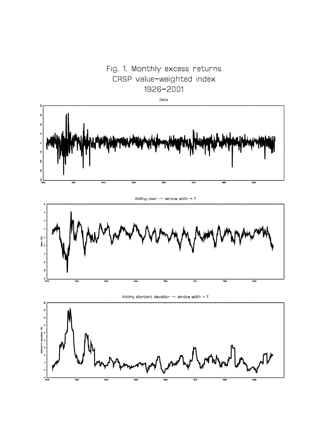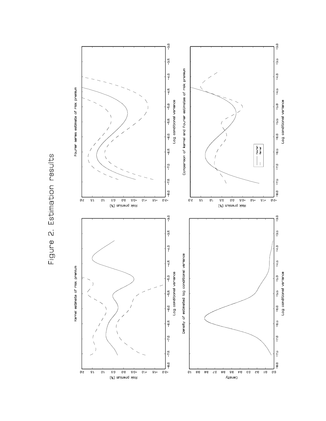

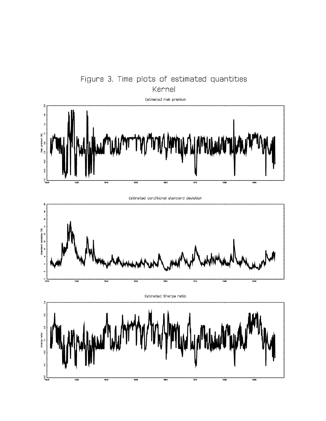

Figure 3. Time plots of estimated quantities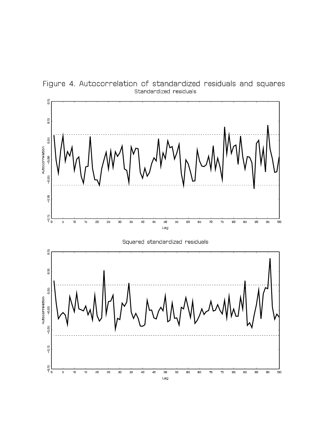

Figure 4. Autocorrelation of standardized residuals and squares Standardized residuals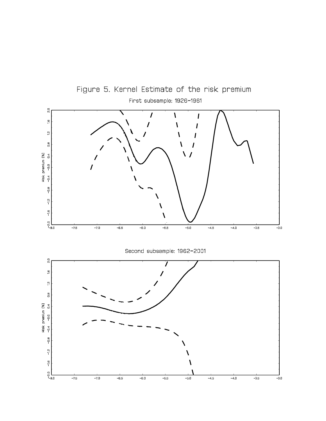